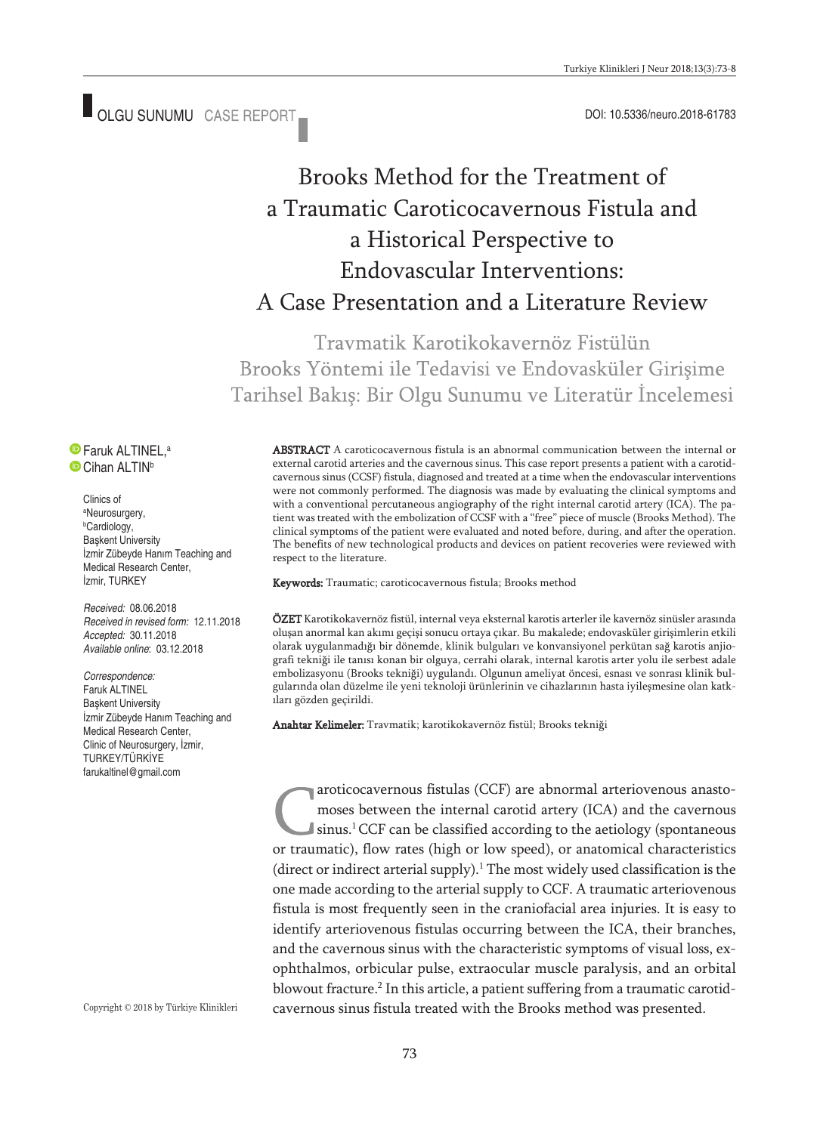■ OLGU SUNUMU CASE REPORT ■ COLORE COLORED DOI: 10.5336/neuro.2018-61783

# Brooks Method for the Treatment of a Traumatic Caroticocavernous Fistula and a Historical Perspective to Endovascular Interventions: A Case Presentation and a Literature Review

Traymatik Karotikokayernöz Fistülün Brooks Yöntemi ile Tedavisi ve Endovasküler Girişime Tarihsel Bakış: Bir Olgu Sunumu ve Literatür İncelemesi

Faruk ALTINEL, a <sup>O</sup> Cihan ALTIN<sup>b</sup>

> Clinics of a Neurosurgery, b Cardiology, Başkent University İzmir Zübeyde Hanım Teaching and Medical Research Center, İzmir, TURKEY

*Received:* 08.06.2018 *Received in revised form:* 12.11.2018 *Accepted:* 30.11.2018 *Available online*: 03.12.2018

*Correspondence:* Faruk ALTINEL Başkent University İzmir Zübeyde Hanım Teaching and Medical Research Center, Clinic of Neurosurgery, İzmir, TURKEY/TÜRKİYE farukaltinel@gmail.com

Copyright © 2018 by Türkiye Klinikleri

ABSTRACT A caroticocavernous fistula is an abnormal communication between the internal or external carotid arteries and the cavernous sinus. This case report presents a patient with a carotidcavernous sinus (CCSF) fistula, diagnosed and treated at a time when the endovascular interventions were not commonly performed. The diagnosis was made by evaluating the clinical symptoms and with a conventional percutaneous angiography of the right internal carotid artery (ICA). The patient was treated with the embolization of CCSF with a "free" piece of muscle (Brooks Method). The clinical symptoms of the patient were evaluated and noted before, during, and after the operation. The benefits of new technological products and devices on patient recoveries were reviewed with respect to the literature.

Keywords: Traumatic; caroticocavernous fistula; Brooks method

ÖZET Karotikokavernöz fistül, internal veya eksternal karotis arterler ile kavernöz sinüsler arasında oluşan anormal kan akımı geçişi sonucu ortaya çıkar. Bu makalede; endovasküler girişimlerin etkili olarak uygulanmadığı bir dönemde, klinik bulguları ve konvansiyonel perkütan sağ karotis anjiografi tekniği ile tanısı konan bir olguya, cerrahi olarak, internal karotis arter yolu ile serbest adale embolizasyonu (Brooks tekniği) uygulandı. Olgunun ameliyat öncesi, esnası ve sonrası klinik bulgularında olan düzelme ile yeni teknoloji ürünlerinin ve cihazlarının hasta iyileşmesine olan katkıları gözden geçirildi.

Anahtar Kelimeler: Travmatik; karotikokavernöz fistül; Brooks tekniği

aroticocavernous fistulas (CCF) are abnormal arteriovenous anastomoses between the internal carotid artery (ICA) and the cavernous sinus. 1CCF can be classified according to the aetiology (spontaneous or traumatic), flow rates (high or low speed), or anatomical characteristics (direct or indirect arterial supply). <sup>1</sup> The most widely used classification is the one made according to the arterial supply to CCF. A traumatic arteriovenous fistula is most frequently seen in the craniofacial area injuries. It is easy to identify arteriovenous fistulas occurring between the ICA, their branches, and the cavernous sinus with the characteristic symptoms of visual loss, exophthalmos, orbicular pulse, extraocular muscle paralysis, and an orbital blowout fracture. <sup>2</sup> In this article, a patient suffering from a traumatic carotidcavernous sinus fistula treated with the Brooks method was presented.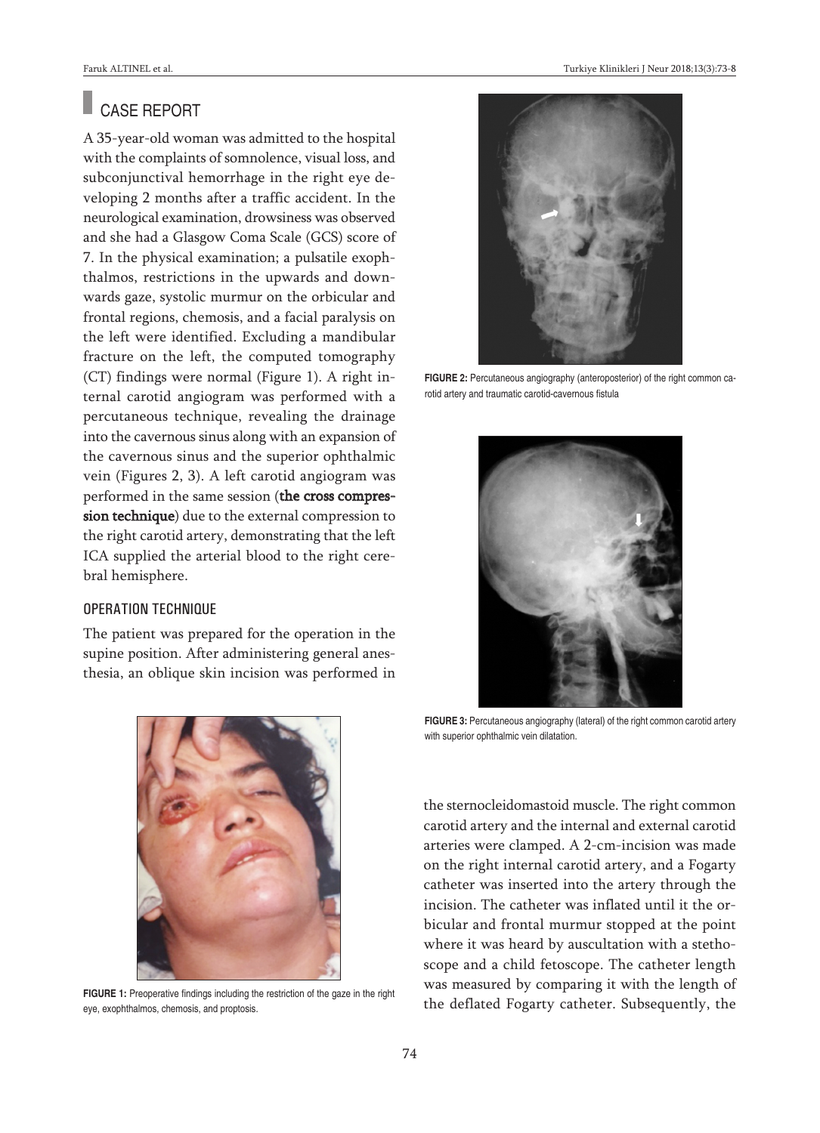# CASE REPORT

A 35-year-old woman was admitted to the hospital with the complaints of somnolence, visual loss, and subconjunctival hemorrhage in the right eye developing 2 months after a traffic accident. In the neurological examination, drowsiness was observed and she had a Glasgow Coma Scale (GCS) score of 7. In the physical examination; a pulsatile exophthalmos, restrictions in the upwards and downwards gaze, systolic murmur on the orbicular and frontal regions, chemosis, and a facial paralysis on the left were identified. Excluding a mandibular fracture on the left, the computed tomography (CT) findings were normal (Figure 1). A right internal carotid angiogram was performed with a percutaneous technique, revealing the drainage into the cavernous sinus along with an expansion of the cavernous sinus and the superior ophthalmic vein (Figures 2, 3). A left carotid angiogram was performed in the same session (the cross compression technique) due to the external compression to the right carotid artery, demonstrating that the left ICA supplied the arterial blood to the right cerebral hemisphere.

#### OPERATION TECHNIQUE

The patient was prepared for the operation in the supine position. After administering general anesthesia, an oblique skin incision was performed in



**FIGURE 1:** Preoperative findings including the restriction of the gaze in the right eye, exophthalmos, chemosis, and proptosis.



**FIGURE 2:** Percutaneous angiography (anteroposterior) of the right common carotid artery and traumatic carotid-cavernous fistula



**FIGURE 3:** Percutaneous angiography (lateral) of the right common carotid artery with superior ophthalmic vein dilatation.

the sternocleidomastoid muscle. The right common carotid artery and the internal and external carotid arteries were clamped. A 2-cm-incision was made on the right internal carotid artery, and a Fogarty catheter was inserted into the artery through the incision. The catheter was inflated until it the orbicular and frontal murmur stopped at the point where it was heard by auscultation with a stethoscope and a child fetoscope. The catheter length was measured by comparing it with the length of the deflated Fogarty catheter. Subsequently, the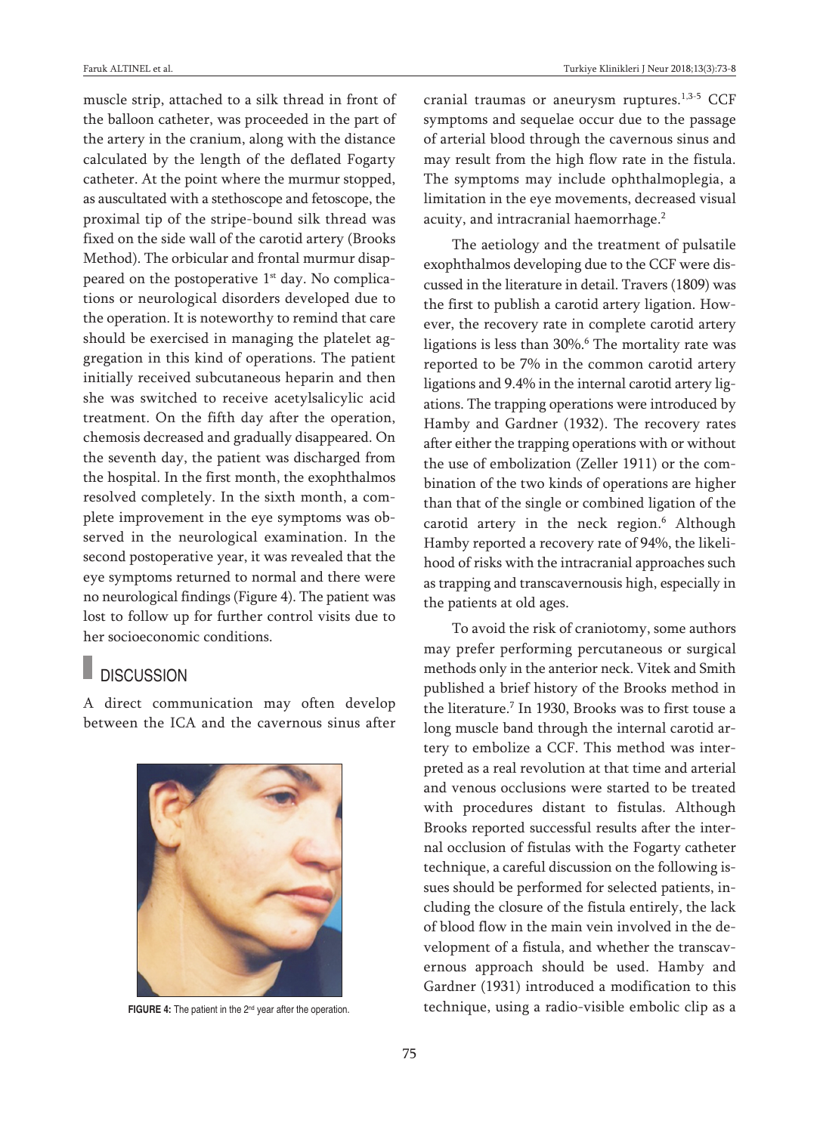muscle strip, attached to a silk thread in front of the balloon catheter, was proceeded in the part of the artery in the cranium, along with the distance calculated by the length of the deflated Fogarty catheter. At the point where the murmur stopped, as auscultated with a stethoscope and fetoscope, the proximal tip of the stripe-bound silk thread was fixed on the side wall of the carotid artery (Brooks Method). The orbicular and frontal murmur disappeared on the postoperative 1<sup>st</sup> day. No complications or neurological disorders developed due to the operation. It is noteworthy to remind that care should be exercised in managing the platelet aggregation in this kind of operations. The patient initially received subcutaneous heparin and then she was switched to receive acetylsalicylic acid treatment. On the fifth day after the operation, chemosis decreased and gradually disappeared. On the seventh day, the patient was discharged from the hospital. In the first month, the exophthalmos resolved completely. In the sixth month, a complete improvement in the eye symptoms was observed in the neurological examination. In the second postoperative year, it was revealed that the eye symptoms returned to normal and there were no neurological findings (Figure 4). The patient was lost to follow up for further control visits due to her socioeconomic conditions.

## **DISCUSSION**

A direct communication may often develop between the ICA and the cavernous sinus after



**FIGURE 4:** The patient in the 2<sup>nd</sup> year after the operation.

cranial traumas or aneurysm ruptures. 1,3-5 CCF symptoms and sequelae occur due to the passage of arterial blood through the cavernous sinus and may result from the high flow rate in the fistula. The symptoms may include ophthalmoplegia, a limitation in the eye movements, decreased visual acuity, and intracranial haemorrhage. 2

The aetiology and the treatment of pulsatile exophthalmos developing due to the CCF were discussed in the literature in detail. Travers (1809) was the first to publish a carotid artery ligation. However, the recovery rate in complete carotid artery ligations is less than 30%. <sup>6</sup> The mortality rate was reported to be 7% in the common carotid artery ligations and 9.4% in the internal carotid artery ligations. The trapping operations were introduced by Hamby and Gardner (1932). The recovery rates after either the trapping operations with or without the use of embolization (Zeller 1911) or the combination of the two kinds of operations are higher than that of the single or combined ligation of the carotid artery in the neck region. <sup>6</sup> Although Hamby reported a recovery rate of 94%, the likelihood of risks with the intracranial approaches such as trapping and transcavernousis high, especially in the patients at old ages.

To avoid the risk of craniotomy, some authors may prefer performing percutaneous or surgical methods only in the anterior neck. Vitek and Smith published a brief history of the Brooks method in the literature. <sup>7</sup> In 1930, Brooks was to first touse a long muscle band through the internal carotid artery to embolize a CCF. This method was interpreted as a real revolution at that time and arterial and venous occlusions were started to be treated with procedures distant to fistulas. Although Brooks reported successful results after the internal occlusion of fistulas with the Fogarty catheter technique, a careful discussion on the following issues should be performed for selected patients, including the closure of the fistula entirely, the lack of blood flow in the main vein involved in the development of a fistula, and whether the transcavernous approach should be used. Hamby and Gardner (1931) introduced a modification to this technique, using a radio-visible embolic clip as a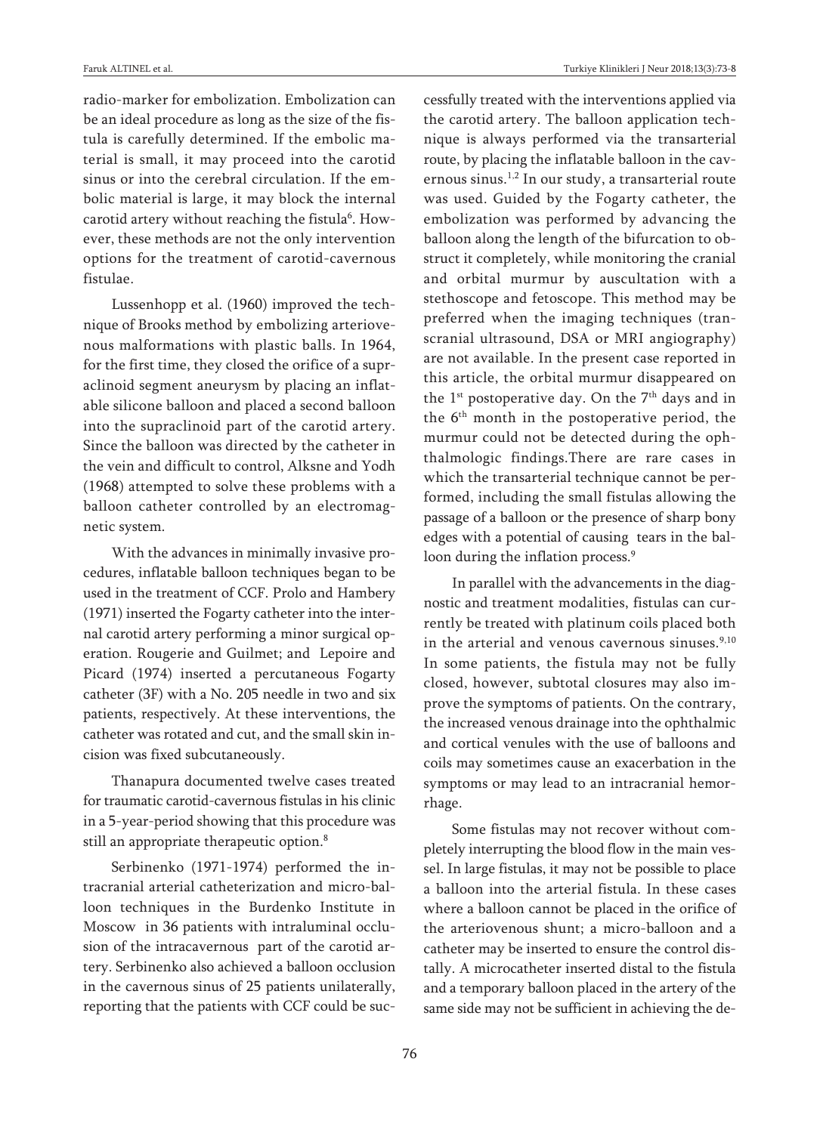radio-marker for embolization. Embolization can be an ideal procedure as long as the size of the fistula is carefully determined. If the embolic material is small, it may proceed into the carotid sinus or into the cerebral circulation. If the embolic material is large, it may block the internal carotid artery without reaching the fistula<sup>6</sup>. However, these methods are not the only intervention options for the treatment of carotid-cavernous fistulae.

Lussenhopp et al. (1960) improved the technique of Brooks method by embolizing arteriovenous malformations with plastic balls. In 1964, for the first time, they closed the orifice of a supraclinoid segment aneurysm by placing an inflatable silicone balloon and placed a second balloon into the supraclinoid part of the carotid artery. Since the balloon was directed by the catheter in the vein and difficult to control, Alksne and Yodh (1968) attempted to solve these problems with a balloon catheter controlled by an electromagnetic system.

With the advances in minimally invasive procedures, inflatable balloon techniques began to be used in the treatment of CCF. Prolo and Hambery (1971) inserted the Fogarty catheter into the internal carotid artery performing a minor surgical operation. Rougerie and Guilmet; and Lepoire and Picard (1974) inserted a percutaneous Fogarty catheter (3F) with a No. 205 needle in two and six patients, respectively. At these interventions, the catheter was rotated and cut, and the small skin incision was fixed subcutaneously.

Thanapura documented twelve cases treated for traumatic carotid-cavernous fistulas in his clinic in a 5-year-period showing that this procedure was still an appropriate therapeutic option. 8

Serbinenko (1971-1974) performed the intracranial arterial catheterization and micro-balloon techniques in the Burdenko Institute in Moscow in 36 patients with intraluminal occlusion of the intracavernous part of the carotid artery. Serbinenko also achieved a balloon occlusion in the cavernous sinus of 25 patients unilaterally, reporting that the patients with CCF could be successfully treated with the interventions applied via the carotid artery. The balloon application technique is always performed via the transarterial route, by placing the inflatable balloon in the cavernous sinus. 1,2 In our study, a transarterial route was used. Guided by the Fogarty catheter, the embolization was performed by advancing the balloon along the length of the bifurcation to obstruct it completely, while monitoring the cranial and orbital murmur by auscultation with a stethoscope and fetoscope. This method may be preferred when the imaging techniques (transcranial ultrasound, DSA or MRI angiography) are not available. In the present case reported in this article, the orbital murmur disappeared on the  $1^{st}$  postoperative day. On the  $7^{th}$  days and in the 6th month in the postoperative period, the murmur could not be detected during the ophthalmologic findings.There are rare cases in which the transarterial technique cannot be performed, including the small fistulas allowing the passage of a balloon or the presence of sharp bony edges with a potential of causing tears in the balloon during the inflation process.<sup>9</sup>

In parallel with the advancements in the diagnostic and treatment modalities, fistulas can currently be treated with platinum coils placed both in the arterial and venous cavernous sinuses. 9,10 In some patients, the fistula may not be fully closed, however, subtotal closures may also improve the symptoms of patients. On the contrary, the increased venous drainage into the ophthalmic and cortical venules with the use of balloons and coils may sometimes cause an exacerbation in the symptoms or may lead to an intracranial hemorrhage.

Some fistulas may not recover without completely interrupting the blood flow in the main vessel. In large fistulas, it may not be possible to place a balloon into the arterial fistula. In these cases where a balloon cannot be placed in the orifice of the arteriovenous shunt; a micro-balloon and a catheter may be inserted to ensure the control distally. A microcatheter inserted distal to the fistula and a temporary balloon placed in the artery of the same side may not be sufficient in achieving the de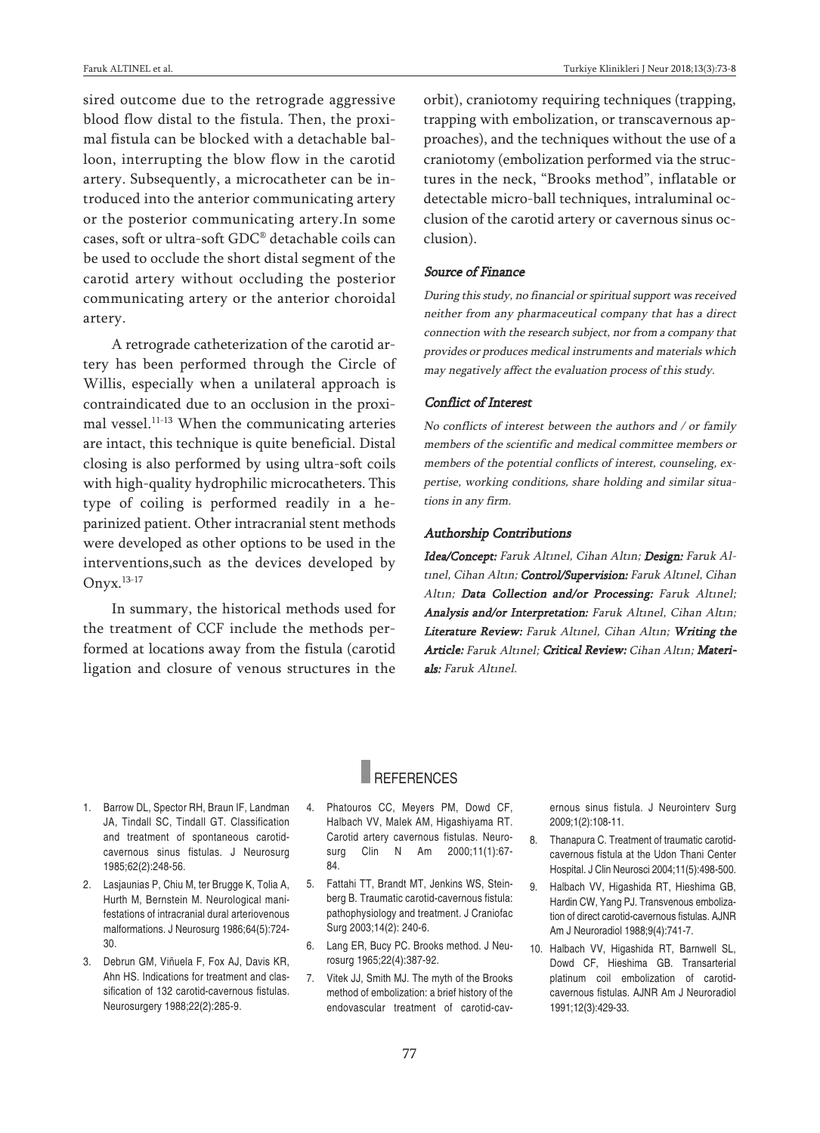sired outcome due to the retrograde aggressive blood flow distal to the fistula. Then, the proximal fistula can be blocked with a detachable balloon, interrupting the blow flow in the carotid artery. Subsequently, a microcatheter can be introduced into the anterior communicating artery or the posterior communicating artery.In some cases, soft or ultra-soft GDC® detachable coils can be used to occlude the short distal segment of the carotid artery without occluding the posterior communicating artery or the anterior choroidal artery.

A retrograde catheterization of the carotid artery has been performed through the Circle of Willis, especially when a unilateral approach is contraindicated due to an occlusion in the proximal vessel. 11-13 When the communicating arteries are intact, this technique is quite beneficial. Distal closing is also performed by using ultra-soft coils with high-quality hydrophilic microcatheters. This type of coiling is performed readily in a heparinized patient. Other intracranial stent methods were developed as other options to be used in the interventions,such as the devices developed by Onyx. 13-17

In summary, the historical methods used for the treatment of CCF include the methods performed at locations away from the fistula (carotid ligation and closure of venous structures in the orbit), craniotomy requiring techniques (trapping, trapping with embolization, or transcavernous approaches), and the techniques without the use of a craniotomy (embolization performed via the structures in the neck, "Brooks method", inflatable or detectable micro-ball techniques, intraluminal occlusion of the carotid artery or cavernous sinus occlusion).

#### Source of Finance

During this study, no financial or spiritual support was received neither from any pharmaceutical company that has <sup>a</sup> direct connection with the research subject, nor from <sup>a</sup> company that provides or produces medical instruments and materials which may negatively affect the evaluation process of this study.

#### Conflict of Interest

No conflicts of interest between the authors and / or family members of the scientific and medical committee members or members of the potential conflicts of interest, counseling, expertise, working conditions, share holding and similar situations in any firm.

#### Authorship Contributions

Idea/Concept: Faruk Altınel, Cihan Altın; Design: Faruk Altınel, Cihan Altın; Control/Supervision: Faruk Altınel, Cihan Altın; Data Collection and/or Processing: Faruk Altınel; Analysis and/or Interpretation: Faruk Altınel, Cihan Altın; Literature Review: Faruk Altınel, Cihan Altın; Writing the Article: Faruk Altınel; Critical Review: Cihan Altın; Materials: Faruk Altınel.

## **REFERENCES**

- 1. Barrow DL, Spector RH, Braun IF, Landman JA, Tindall SC, Tindall GT. Classification and treatment of spontaneous carotidcavernous sinus fistulas. J Neurosurg 1985;62(2):248-56.
- 2. Lasjaunias P, Chiu M, ter Brugge K, Tolia A, Hurth M, Bernstein M. Neurological manifestations of intracranial dural arteriovenous malformations. J Neurosurg 1986;64(5):724- 30.
- 3. Debrun GM, Viñuela F, Fox AJ, Davis KR, Ahn HS. Indications for treatment and classification of 132 carotid-cavernous fistulas. Neurosurgery 1988;22(2):285-9.
- 4. Phatouros CC, Meyers PM, Dowd CF, Halbach VV, Malek AM, Higashiyama RT. Carotid artery cavernous fistulas. Neurosurg Clin N Am 2000;11(1):67- 84.
- 5. Fattahi TT, Brandt MT, Jenkins WS, Steinberg B. Traumatic carotid-cavernous fistula: pathophysiology and treatment. J Craniofac Surg 2003;14(2): 240-6.
- 6. Lang ER, Bucy PC. Brooks method. J Neurosurg 1965;22(4):387-92.
- 7. Vitek JJ, Smith MJ. The myth of the Brooks method of embolization: a brief history of the endovascular treatment of carotid-cav-

ernous sinus fistula. J Neurointerv Surg 2009;1(2):108-11.

- 8. Thanapura C. Treatment of traumatic carotidcavernous fistula at the Udon Thani Center Hospital. J Clin Neurosci 2004;11(5):498-500.
	- 9. Halbach VV, Higashida RT, Hieshima GB, Hardin CW, Yang PJ. Transvenous embolization of direct carotid-cavernous fistulas. AJNR Am J Neuroradiol 1988;9(4):741-7.
- 10. Halbach VV, Higashida RT, Barnwell SL, Dowd CF, Hieshima GB. Transarterial platinum coil embolization of carotidcavernous fistulas. AJNR Am J Neuroradiol 1991;12(3):429-33.